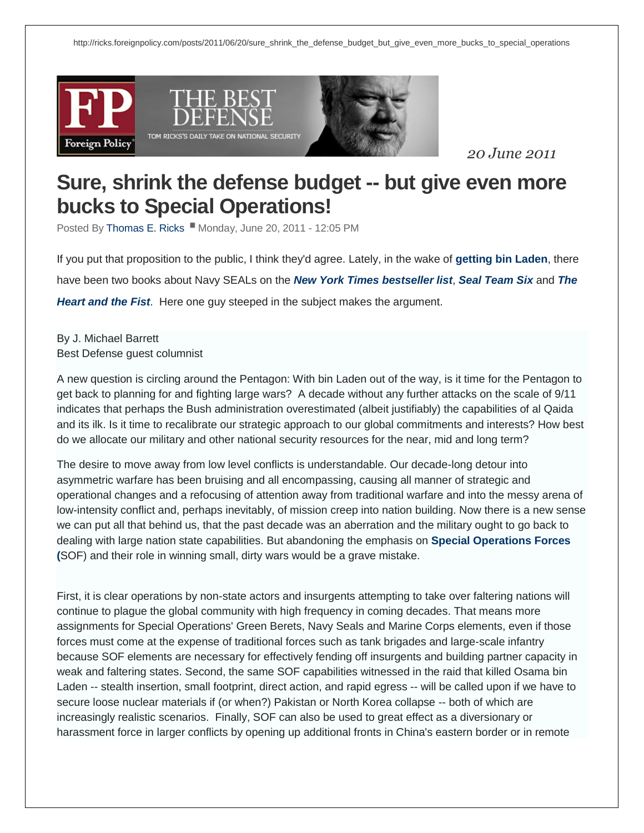





*20 June 2011*

## **Sure, shrink the [defense](http://ricks.foreignpolicy.com/posts/2011/06/20/sure_shrink_the_defense_budget_but_give_even_more_bucks_to_special_operations) budget -- but give even more bucks to Special [Operations!](http://ricks.foreignpolicy.com/posts/2011/06/20/sure_shrink_the_defense_budget_but_give_even_more_bucks_to_special_operations)**

Posted By [Thomas](http://ricks.foreignpolicy.com/blog/2187) E. Ricks Monday, June 20, 2011 - 12:05 PM

If you put that proposition to the public, I think they'd agree. Lately, in the wake of **[getting](http://csis.org/publication/bin-ladens-gone-what-now-defense-policy) bin Laden**, there have been two books about Navy SEALs on the *New York Times [bestseller](http://www.nytimes.com/best-sellers-books/hardcover-nonfiction/list.html?nl=books&emc=booksupdateemb1) list*, *Seal [Team](http://www.amazon.com/SEAL-Team-Six-Memoirs-Sniper/dp/031269945X/ref=sr_1_1?s=books&ie=UTF8&qid=1306520200&sr=1-1) Six* and *[The](http://www.amazon.com/Heart-Fist-education-humanitarian-making/dp/054742485X/ref=sr_1_1?s=books&ie=UTF8&qid=1306520243&sr=1-1) [Heart](http://www.amazon.com/Heart-Fist-education-humanitarian-making/dp/054742485X/ref=sr_1_1?s=books&ie=UTF8&qid=1306520243&sr=1-1) and the Fist*. Here one guy steeped in the subject makes the argument.

By J. Michael Barrett Best Defense guest columnist

A new question is circling around the Pentagon: With bin Laden out of the way, is it time for the Pentagon to get back to planning for and fighting large wars? A decade without any further attacks on the scale of 9/11 indicates that perhaps the Bush administration overestimated (albeit justifiably) the capabilities of al Qaida and its ilk. Is it time to recalibrate our strategic approach to our global commitments and interests? How best do we allocate our military and other national security resources for the near, mid and long term?

The desire to move away from low level conflicts is understandable. Our decade-long detour into asymmetric warfare has been bruising and all encompassing, causing all manner of strategic and operational changes and a refocusing of attention away from traditional warfare and into the messy arena of low-intensity conflict and, perhaps inevitably, of mission creep into nation building. Now there is a new sense we can put all that behind us, that the past decade was an aberration and the military ought to go back to dealing with large nation state capabilities. But abandoning the emphasis on **Special [Operations](http://www.shadowspear.com/united-states-special-operations/index.1.html) Forces [\(](http://www.shadowspear.com/united-states-special-operations/index.1.html)**SOF) and their role in winning small, dirty wars would be a grave mistake.

First, it is clear operations by non-state actors and insurgents attempting to take over faltering nations will continue to plague the global community with high frequency in coming decades. That means more assignments for Special Operations' Green Berets, Navy Seals and Marine Corps elements, even if those forces must come at the expense of traditional forces such as tank brigades and large-scale infantry because SOF elements are necessary for effectively fending off insurgents and building partner capacity in weak and faltering states. Second, the same SOF capabilities witnessed in the raid that killed Osama bin Laden -- stealth insertion, small footprint, direct action, and rapid egress -- will be called upon if we have to secure loose nuclear materials if (or when?) Pakistan or North Korea collapse -- both of which are increasingly realistic scenarios. Finally, SOF can also be used to great effect as a diversionary or harassment force in larger conflicts by opening up additional fronts in China's eastern border or in remote